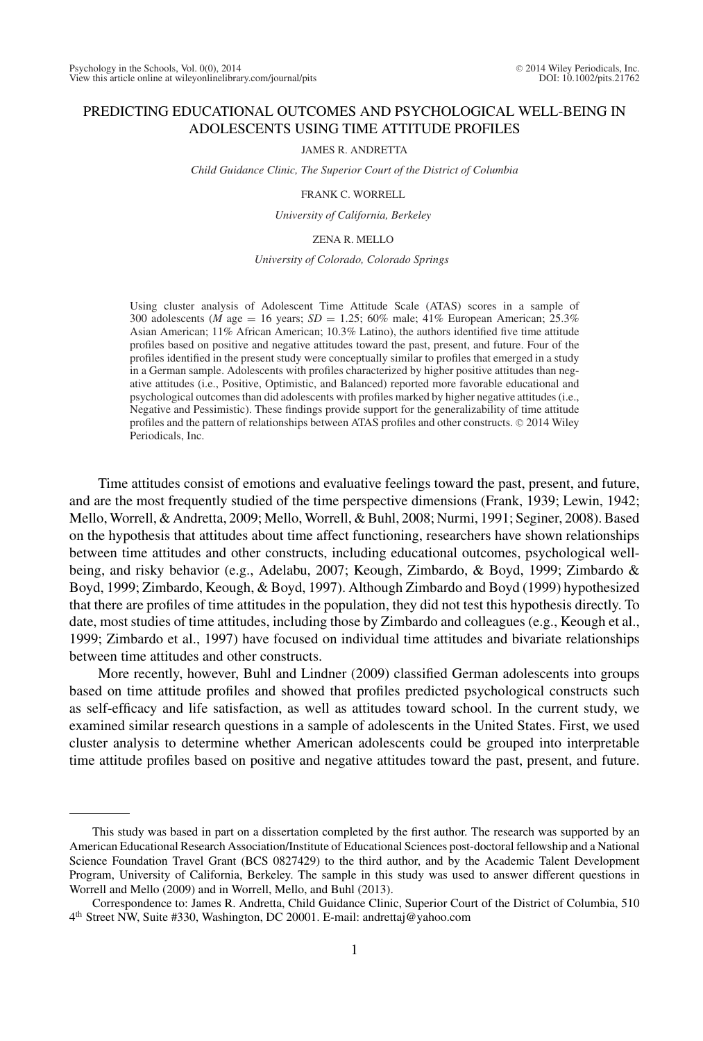# PREDICTING EDUCATIONAL OUTCOMES AND PSYCHOLOGICAL WELL-BEING IN ADOLESCENTS USING TIME ATTITUDE PROFILES

JAMES R. ANDRETTA

*Child Guidance Clinic, The Superior Court of the District of Columbia*

FRANK C. WORRELL

*University of California, Berkeley*

ZENA R. MELLO

*University of Colorado, Colorado Springs*

Using cluster analysis of Adolescent Time Attitude Scale (ATAS) scores in a sample of 300 adolescents (*M* age = 16 years; *SD* = 1.25; 60% male; 41% European American; 25.3% Asian American; 11% African American; 10.3% Latino), the authors identified five time attitude profiles based on positive and negative attitudes toward the past, present, and future. Four of the profiles identified in the present study were conceptually similar to profiles that emerged in a study in a German sample. Adolescents with profiles characterized by higher positive attitudes than negative attitudes (i.e., Positive, Optimistic, and Balanced) reported more favorable educational and psychological outcomes than did adolescents with profiles marked by higher negative attitudes (i.e., Negative and Pessimistic). These findings provide support for the generalizability of time attitude profiles and the pattern of relationships between ATAS profiles and other constructs. © 2014 Wiley Periodicals, Inc.

Time attitudes consist of emotions and evaluative feelings toward the past, present, and future, and are the most frequently studied of the time perspective dimensions (Frank, 1939; Lewin, 1942; Mello, Worrell, & Andretta, 2009; Mello, Worrell, & Buhl, 2008; Nurmi, 1991; Seginer, 2008). Based on the hypothesis that attitudes about time affect functioning, researchers have shown relationships between time attitudes and other constructs, including educational outcomes, psychological wellbeing, and risky behavior (e.g., Adelabu, 2007; Keough, Zimbardo, & Boyd, 1999; Zimbardo & Boyd, 1999; Zimbardo, Keough, & Boyd, 1997). Although Zimbardo and Boyd (1999) hypothesized that there are profiles of time attitudes in the population, they did not test this hypothesis directly. To date, most studies of time attitudes, including those by Zimbardo and colleagues (e.g., Keough et al., 1999; Zimbardo et al., 1997) have focused on individual time attitudes and bivariate relationships between time attitudes and other constructs.

More recently, however, Buhl and Lindner (2009) classified German adolescents into groups based on time attitude profiles and showed that profiles predicted psychological constructs such as self-efficacy and life satisfaction, as well as attitudes toward school. In the current study, we examined similar research questions in a sample of adolescents in the United States. First, we used cluster analysis to determine whether American adolescents could be grouped into interpretable time attitude profiles based on positive and negative attitudes toward the past, present, and future.

This study was based in part on a dissertation completed by the first author. The research was supported by an American Educational Research Association/Institute of Educational Sciences post-doctoral fellowship and a National Science Foundation Travel Grant (BCS 0827429) to the third author, and by the Academic Talent Development Program, University of California, Berkeley. The sample in this study was used to answer different questions in Worrell and Mello (2009) and in Worrell, Mello, and Buhl (2013).

Correspondence to: James R. Andretta, Child Guidance Clinic, Superior Court of the District of Columbia, 510 4th Street NW, Suite #330, Washington, DC 20001. E-mail: andrettaj@yahoo.com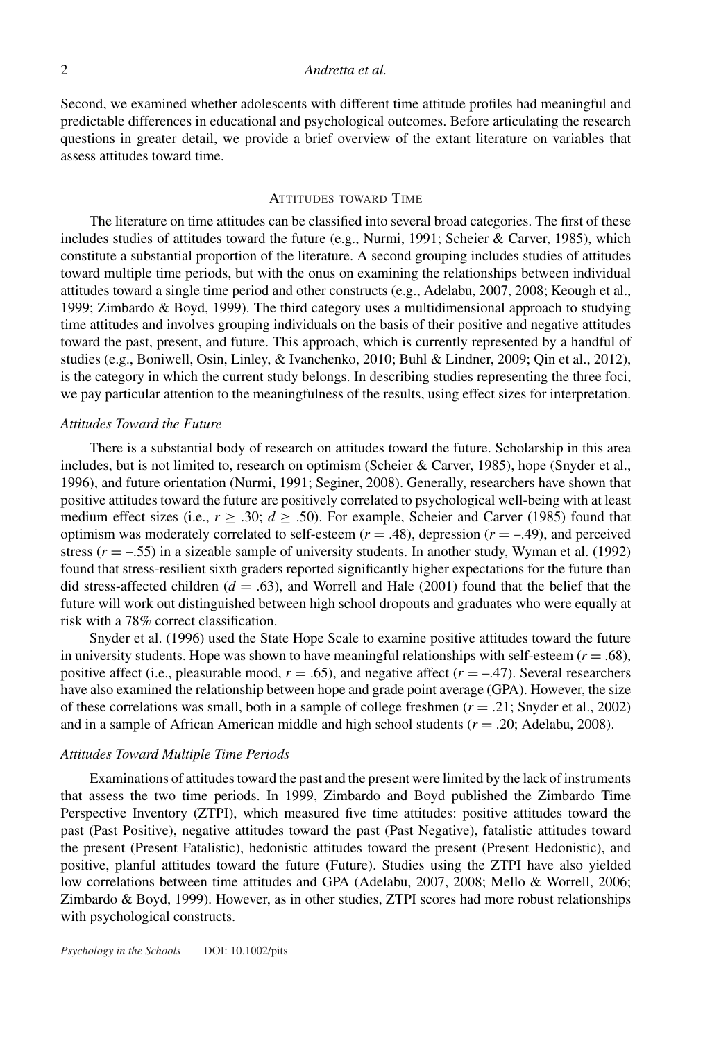Second, we examined whether adolescents with different time attitude profiles had meaningful and predictable differences in educational and psychological outcomes. Before articulating the research questions in greater detail, we provide a brief overview of the extant literature on variables that assess attitudes toward time.

## ATTITUDES TOWARD TIME

The literature on time attitudes can be classified into several broad categories. The first of these includes studies of attitudes toward the future (e.g., Nurmi, 1991; Scheier & Carver, 1985), which constitute a substantial proportion of the literature. A second grouping includes studies of attitudes toward multiple time periods, but with the onus on examining the relationships between individual attitudes toward a single time period and other constructs (e.g., Adelabu, 2007, 2008; Keough et al., 1999; Zimbardo & Boyd, 1999). The third category uses a multidimensional approach to studying time attitudes and involves grouping individuals on the basis of their positive and negative attitudes toward the past, present, and future. This approach, which is currently represented by a handful of studies (e.g., Boniwell, Osin, Linley, & Ivanchenko, 2010; Buhl & Lindner, 2009; Qin et al., 2012), is the category in which the current study belongs. In describing studies representing the three foci, we pay particular attention to the meaningfulness of the results, using effect sizes for interpretation.

#### *Attitudes Toward the Future*

There is a substantial body of research on attitudes toward the future. Scholarship in this area includes, but is not limited to, research on optimism (Scheier & Carver, 1985), hope (Snyder et al., 1996), and future orientation (Nurmi, 1991; Seginer, 2008). Generally, researchers have shown that positive attitudes toward the future are positively correlated to psychological well-being with at least medium effect sizes (i.e.,  $r \geq .30$ ;  $d \geq .50$ ). For example, Scheier and Carver (1985) found that optimism was moderately correlated to self-esteem  $(r = .48)$ , depression  $(r = -.49)$ , and perceived stress  $(r = -.55)$  in a sizeable sample of university students. In another study, Wyman et al. (1992) found that stress-resilient sixth graders reported significantly higher expectations for the future than did stress-affected children  $(d = .63)$ , and Worrell and Hale  $(2001)$  found that the belief that the future will work out distinguished between high school dropouts and graduates who were equally at risk with a 78% correct classification.

Snyder et al. (1996) used the State Hope Scale to examine positive attitudes toward the future in university students. Hope was shown to have meaningful relationships with self-esteem  $(r = .68)$ , positive affect (i.e., pleasurable mood,  $r = .65$ ), and negative affect ( $r = -.47$ ). Several researchers have also examined the relationship between hope and grade point average (GPA). However, the size of these correlations was small, both in a sample of college freshmen (*r* = .21; Snyder et al., 2002) and in a sample of African American middle and high school students (*r* = .20; Adelabu, 2008).

### *Attitudes Toward Multiple Time Periods*

Examinations of attitudes toward the past and the present were limited by the lack of instruments that assess the two time periods. In 1999, Zimbardo and Boyd published the Zimbardo Time Perspective Inventory (ZTPI), which measured five time attitudes: positive attitudes toward the past (Past Positive), negative attitudes toward the past (Past Negative), fatalistic attitudes toward the present (Present Fatalistic), hedonistic attitudes toward the present (Present Hedonistic), and positive, planful attitudes toward the future (Future). Studies using the ZTPI have also yielded low correlations between time attitudes and GPA (Adelabu, 2007, 2008; Mello & Worrell, 2006; Zimbardo & Boyd, 1999). However, as in other studies, ZTPI scores had more robust relationships with psychological constructs.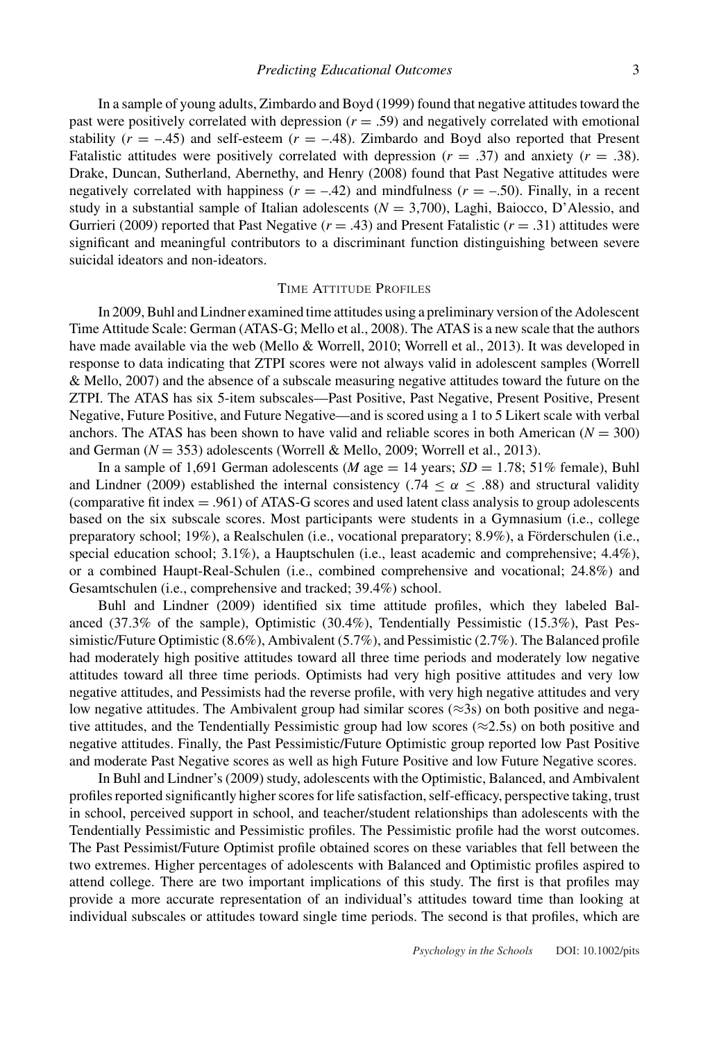In a sample of young adults, Zimbardo and Boyd (1999) found that negative attitudes toward the past were positively correlated with depression  $(r = .59)$  and negatively correlated with emotional stability  $(r = -.45)$  and self-esteem  $(r = -.48)$ . Zimbardo and Boyd also reported that Present Fatalistic attitudes were positively correlated with depression  $(r = .37)$  and anxiety  $(r = .38)$ . Drake, Duncan, Sutherland, Abernethy, and Henry (2008) found that Past Negative attitudes were negatively correlated with happiness  $(r = -.42)$  and mindfulness  $(r = -.50)$ . Finally, in a recent study in a substantial sample of Italian adolescents  $(N = 3,700)$ , Laghi, Baiocco, D'Alessio, and Gurrieri (2009) reported that Past Negative  $(r = .43)$  and Present Fatalistic  $(r = .31)$  attitudes were significant and meaningful contributors to a discriminant function distinguishing between severe suicidal ideators and non-ideators.

## TIME ATTITUDE PROFILES

In 2009, Buhl and Lindner examined time attitudes using a preliminary version of the Adolescent Time Attitude Scale: German (ATAS-G; Mello et al., 2008). The ATAS is a new scale that the authors have made available via the web (Mello & Worrell, 2010; Worrell et al., 2013). It was developed in response to data indicating that ZTPI scores were not always valid in adolescent samples (Worrell & Mello, 2007) and the absence of a subscale measuring negative attitudes toward the future on the ZTPI. The ATAS has six 5-item subscales—Past Positive, Past Negative, Present Positive, Present Negative, Future Positive, and Future Negative—and is scored using a 1 to 5 Likert scale with verbal anchors. The ATAS has been shown to have valid and reliable scores in both American  $(N = 300)$ and German  $(N = 353)$  adolescents (Worrell & Mello, 2009; Worrell et al., 2013).

In a sample of 1,691 German adolescents (*M* age  $=$  14 years; *SD*  $=$  1.78; 51% female), Buhl and Lindner (2009) established the internal consistency (.74  $\leq \alpha \leq$  .88) and structural validity (comparative fit index = .961) of ATAS-G scores and used latent class analysis to group adolescents based on the six subscale scores. Most participants were students in a Gymnasium (i.e., college preparatory school; 19%), a Realschulen (i.e., vocational preparatory; 8.9%), a Förderschulen (i.e., special education school; 3.1%), a Hauptschulen (i.e., least academic and comprehensive; 4.4%), or a combined Haupt-Real-Schulen (i.e., combined comprehensive and vocational; 24.8%) and Gesamtschulen (i.e., comprehensive and tracked; 39.4%) school.

Buhl and Lindner (2009) identified six time attitude profiles, which they labeled Balanced (37.3% of the sample), Optimistic (30.4%), Tendentially Pessimistic (15.3%), Past Pessimistic/Future Optimistic (8.6%), Ambivalent (5.7%), and Pessimistic (2.7%). The Balanced profile had moderately high positive attitudes toward all three time periods and moderately low negative attitudes toward all three time periods. Optimists had very high positive attitudes and very low negative attitudes, and Pessimists had the reverse profile, with very high negative attitudes and very low negative attitudes. The Ambivalent group had similar scores ( $\approx$ 3s) on both positive and negative attitudes, and the Tendentially Pessimistic group had low scores ( $\approx$ 2.5s) on both positive and negative attitudes. Finally, the Past Pessimistic/Future Optimistic group reported low Past Positive and moderate Past Negative scores as well as high Future Positive and low Future Negative scores.

In Buhl and Lindner's (2009) study, adolescents with the Optimistic, Balanced, and Ambivalent profiles reported significantly higher scores for life satisfaction, self-efficacy, perspective taking, trust in school, perceived support in school, and teacher/student relationships than adolescents with the Tendentially Pessimistic and Pessimistic profiles. The Pessimistic profile had the worst outcomes. The Past Pessimist/Future Optimist profile obtained scores on these variables that fell between the two extremes. Higher percentages of adolescents with Balanced and Optimistic profiles aspired to attend college. There are two important implications of this study. The first is that profiles may provide a more accurate representation of an individual's attitudes toward time than looking at individual subscales or attitudes toward single time periods. The second is that profiles, which are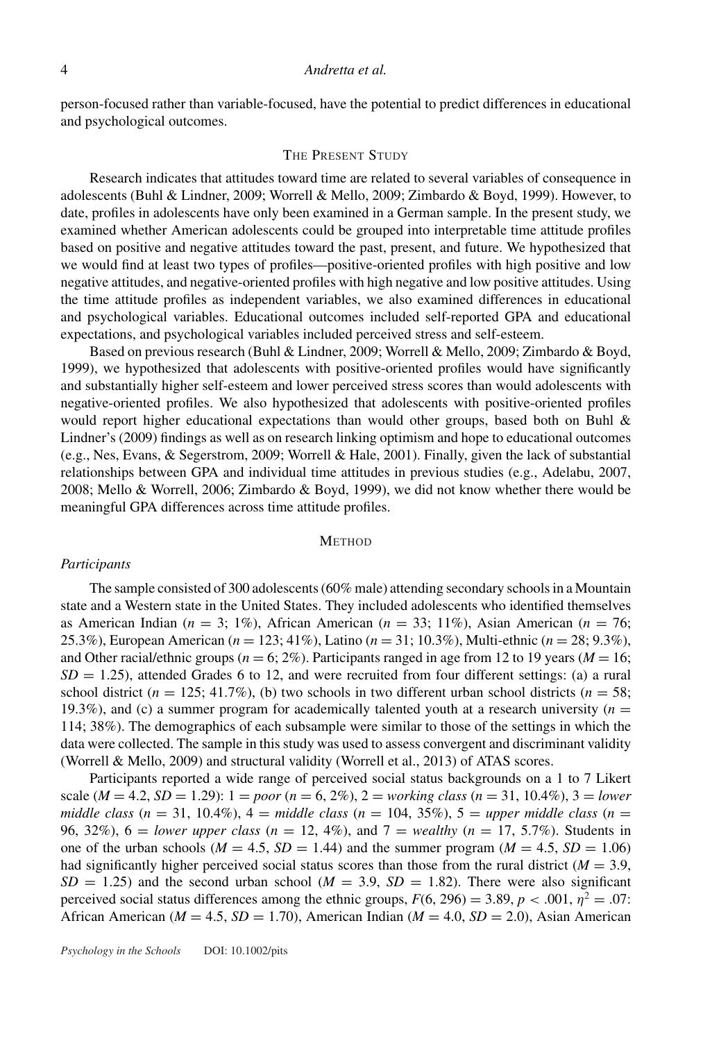person-focused rather than variable-focused, have the potential to predict differences in educational and psychological outcomes.

### THE PRESENT STUDY

Research indicates that attitudes toward time are related to several variables of consequence in adolescents (Buhl & Lindner, 2009; Worrell & Mello, 2009; Zimbardo & Boyd, 1999). However, to date, profiles in adolescents have only been examined in a German sample. In the present study, we examined whether American adolescents could be grouped into interpretable time attitude profiles based on positive and negative attitudes toward the past, present, and future. We hypothesized that we would find at least two types of profiles—positive-oriented profiles with high positive and low negative attitudes, and negative-oriented profiles with high negative and low positive attitudes. Using the time attitude profiles as independent variables, we also examined differences in educational and psychological variables. Educational outcomes included self-reported GPA and educational expectations, and psychological variables included perceived stress and self-esteem.

Based on previous research (Buhl & Lindner, 2009; Worrell & Mello, 2009; Zimbardo & Boyd, 1999), we hypothesized that adolescents with positive-oriented profiles would have significantly and substantially higher self-esteem and lower perceived stress scores than would adolescents with negative-oriented profiles. We also hypothesized that adolescents with positive-oriented profiles would report higher educational expectations than would other groups, based both on Buhl & Lindner's (2009) findings as well as on research linking optimism and hope to educational outcomes (e.g., Nes, Evans, & Segerstrom, 2009; Worrell & Hale, 2001). Finally, given the lack of substantial relationships between GPA and individual time attitudes in previous studies (e.g., Adelabu, 2007, 2008; Mello & Worrell, 2006; Zimbardo & Boyd, 1999), we did not know whether there would be meaningful GPA differences across time attitude profiles.

### **METHOD**

### *Participants*

The sample consisted of 300 adolescents (60% male) attending secondary schools in a Mountain state and a Western state in the United States. They included adolescents who identified themselves as American Indian ( $n = 3$ ; 1%), African American ( $n = 33$ ; 11%), Asian American ( $n = 76$ ; 25.3%), European American (*n* = 123; 41%), Latino (*n* = 31; 10.3%), Multi-ethnic (*n* = 28; 9.3%), and Other racial/ethnic groups ( $n = 6$ ; 2%). Participants ranged in age from 12 to 19 years ( $M = 16$ ;  $SD = 1.25$ ), attended Grades 6 to 12, and were recruited from four different settings: (a) a rural school district ( $n = 125$ ; 41.7%), (b) two schools in two different urban school districts ( $n = 58$ ; 19.3%), and (c) a summer program for academically talented youth at a research university  $(n = 1, 2, 3)$ 114; 38%). The demographics of each subsample were similar to those of the settings in which the data were collected. The sample in this study was used to assess convergent and discriminant validity (Worrell & Mello, 2009) and structural validity (Worrell et al., 2013) of ATAS scores.

Participants reported a wide range of perceived social status backgrounds on a 1 to 7 Likert scale ( $M = 4.2$ ,  $SD = 1.29$ ):  $1 = poor (n = 6, 2\%)$ ,  $2 = working class (n = 31, 10.4\%)$ ,  $3 = lower$ *middle class*  $(n = 31, 10.4\%)$ ,  $4 = middle \, class \, (n = 104, 35\%)$ ,  $5 = upper \, middle \, class \, (n = 104, 35\%)$ 96, 32%), 6 = *lower upper class* (*n* = 12, 4%), and 7 = *wealthy* (*n* = 17, 5.7%). Students in one of the urban schools ( $M = 4.5$ ,  $SD = 1.44$ ) and the summer program ( $M = 4.5$ ,  $SD = 1.06$ ) had significantly higher perceived social status scores than those from the rural district ( $M = 3.9$ ,  $SD = 1.25$ ) and the second urban school ( $M = 3.9$ ,  $SD = 1.82$ ). There were also significant perceived social status differences among the ethnic groups,  $F(6, 296) = 3.89$ ,  $p < .001$ ,  $\eta^2 = .07$ : African American (*M* = 4.5, *SD* = 1.70), American Indian (*M* = 4.0, *SD* = 2.0), Asian American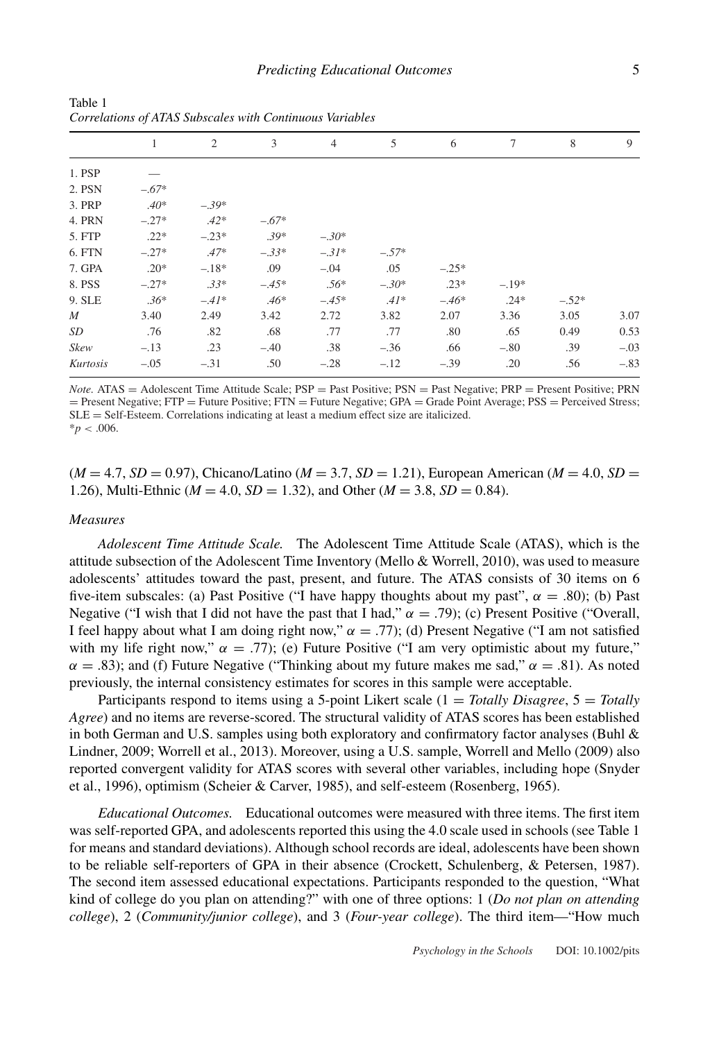|             | 1       | 2       | 3       | $\overline{4}$ | 5       | 6       | $\tau$  | 8       | 9      |
|-------------|---------|---------|---------|----------------|---------|---------|---------|---------|--------|
| 1. PSP      |         |         |         |                |         |         |         |         |        |
| 2. PSN      | $-.67*$ |         |         |                |         |         |         |         |        |
| 3. PRP      | $.40*$  | $-.39*$ |         |                |         |         |         |         |        |
| 4. PRN      | $-.27*$ | $.42*$  | $-.67*$ |                |         |         |         |         |        |
| 5. FTP      | $.22*$  | $-.23*$ | $.39*$  | $-.30*$        |         |         |         |         |        |
| 6. FTN      | $-.27*$ | $.47*$  | $-.33*$ | $-.31*$        | $-.57*$ |         |         |         |        |
| 7. GPA      | $.20*$  | $-.18*$ | .09     | $-.04$         | .05     | $-.25*$ |         |         |        |
| 8. PSS      | $-.27*$ | $.33*$  | $-.45*$ | $.56*$         | $-.30*$ | $.23*$  | $-.19*$ |         |        |
| 9. SLE      | $.36*$  | $-.41*$ | $.46*$  | $-.45*$        | $.41*$  | $-.46*$ | $.24*$  | $-.52*$ |        |
| $M_{\odot}$ | 3.40    | 2.49    | 3.42    | 2.72           | 3.82    | 2.07    | 3.36    | 3.05    | 3.07   |
| SD          | .76     | .82     | .68     | .77            | .77     | .80     | .65     | 0.49    | 0.53   |
| Skew        | $-.13$  | .23     | $-.40$  | .38            | $-.36$  | .66     | $-.80$  | .39     | $-.03$ |
| Kurtosis    | $-.05$  | $-.31$  | .50     | $-.28$         | $-.12$  | $-.39$  | .20     | .56     | $-.83$ |

Table 1 *Correlations of ATAS Subscales with Continuous Variables*

*Note.* ATAS = Adolescent Time Attitude Scale; PSP = Past Positive; PSN = Past Negative; PRP = Present Positive; PRN = Present Negative; FTP = Future Positive; FTN = Future Negative; GPA = Grade Point Average; PSS = Perceived Stress; SLE = Self-Esteem. Correlations indicating at least a medium effect size are italicized.  $* p < .006$ .

 $(M = 4.7, SD = 0.97)$ , Chicano/Latino  $(M = 3.7, SD = 1.21)$ , European American  $(M = 4.0, SD = 1.21)$ 1.26), Multi-Ethnic ( $M = 4.0$ ,  $SD = 1.32$ ), and Other ( $M = 3.8$ ,  $SD = 0.84$ ).

#### *Measures*

*Adolescent Time Attitude Scale.* The Adolescent Time Attitude Scale (ATAS), which is the attitude subsection of the Adolescent Time Inventory (Mello & Worrell, 2010), was used to measure adolescents' attitudes toward the past, present, and future. The ATAS consists of 30 items on 6 five-item subscales: (a) Past Positive ("I have happy thoughts about my past",  $\alpha = .80$ ); (b) Past Negative ("I wish that I did not have the past that I had,"  $\alpha = .79$ ); (c) Present Positive ("Overall, I feel happy about what I am doing right now,"  $\alpha = .77$ ); (d) Present Negative ("I am not satisfied with my life right now,"  $\alpha = .77$ ); (e) Future Positive ("I am very optimistic about my future,"  $\alpha = .83$ ); and (f) Future Negative ("Thinking about my future makes me sad,"  $\alpha = .81$ ). As noted previously, the internal consistency estimates for scores in this sample were acceptable.

Participants respond to items using a 5-point Likert scale (1 = *Totally Disagree*, 5 = *Totally Agree*) and no items are reverse-scored. The structural validity of ATAS scores has been established in both German and U.S. samples using both exploratory and confirmatory factor analyses (Buhl & Lindner, 2009; Worrell et al., 2013). Moreover, using a U.S. sample, Worrell and Mello (2009) also reported convergent validity for ATAS scores with several other variables, including hope (Snyder et al., 1996), optimism (Scheier & Carver, 1985), and self-esteem (Rosenberg, 1965).

*Educational Outcomes.* Educational outcomes were measured with three items. The first item was self-reported GPA, and adolescents reported this using the 4.0 scale used in schools (see Table 1 for means and standard deviations). Although school records are ideal, adolescents have been shown to be reliable self-reporters of GPA in their absence (Crockett, Schulenberg, & Petersen, 1987). The second item assessed educational expectations. Participants responded to the question, "What kind of college do you plan on attending?" with one of three options: 1 (*Do not plan on attending college*), 2 (*Community/junior college*), and 3 (*Four-year college*). The third item—"How much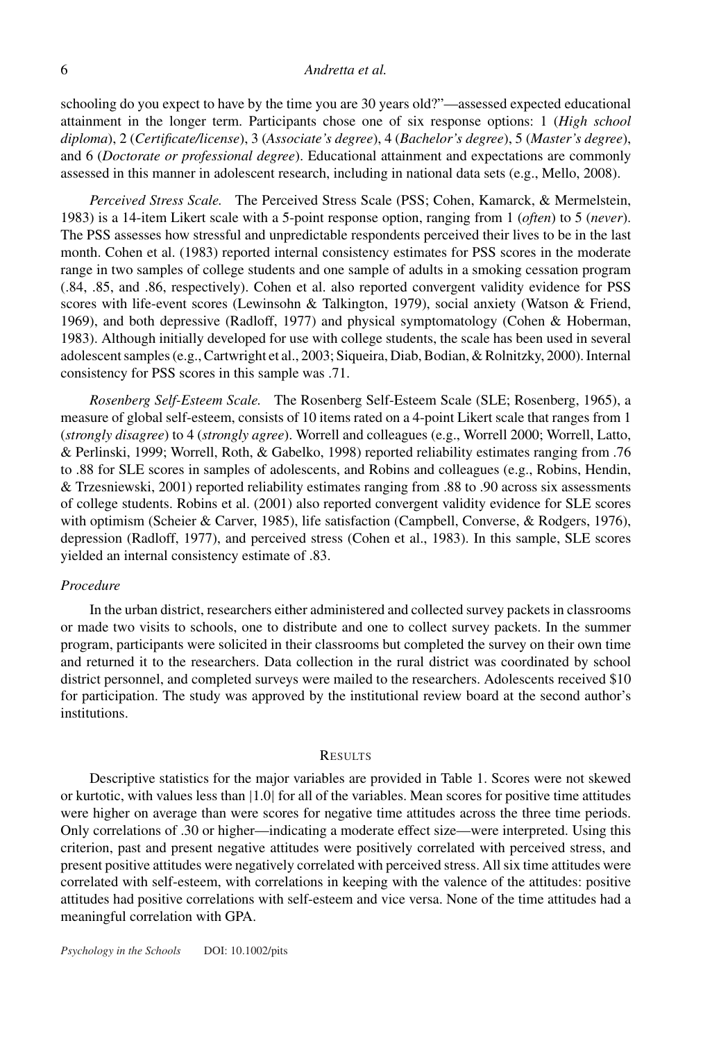schooling do you expect to have by the time you are 30 years old?"—assessed expected educational attainment in the longer term. Participants chose one of six response options: 1 (*High school diploma*), 2 (*Certificate/license*), 3 (*Associate's degree*), 4 (*Bachelor's degree*), 5 (*Master's degree*), and 6 (*Doctorate or professional degree*). Educational attainment and expectations are commonly assessed in this manner in adolescent research, including in national data sets (e.g., Mello, 2008).

*Perceived Stress Scale.* The Perceived Stress Scale (PSS; Cohen, Kamarck, & Mermelstein, 1983) is a 14-item Likert scale with a 5-point response option, ranging from 1 (*often*) to 5 (*never*). The PSS assesses how stressful and unpredictable respondents perceived their lives to be in the last month. Cohen et al. (1983) reported internal consistency estimates for PSS scores in the moderate range in two samples of college students and one sample of adults in a smoking cessation program (.84, .85, and .86, respectively). Cohen et al. also reported convergent validity evidence for PSS scores with life-event scores (Lewinsohn & Talkington, 1979), social anxiety (Watson & Friend, 1969), and both depressive (Radloff, 1977) and physical symptomatology (Cohen & Hoberman, 1983). Although initially developed for use with college students, the scale has been used in several adolescent samples (e.g., Cartwright et al., 2003; Siqueira, Diab, Bodian, & Rolnitzky, 2000). Internal consistency for PSS scores in this sample was .71.

*Rosenberg Self-Esteem Scale.* The Rosenberg Self-Esteem Scale (SLE; Rosenberg, 1965), a measure of global self-esteem, consists of 10 items rated on a 4-point Likert scale that ranges from 1 (*strongly disagree*) to 4 (*strongly agree*). Worrell and colleagues (e.g., Worrell 2000; Worrell, Latto, & Perlinski, 1999; Worrell, Roth, & Gabelko, 1998) reported reliability estimates ranging from .76 to .88 for SLE scores in samples of adolescents, and Robins and colleagues (e.g., Robins, Hendin, & Trzesniewski, 2001) reported reliability estimates ranging from .88 to .90 across six assessments of college students. Robins et al. (2001) also reported convergent validity evidence for SLE scores with optimism (Scheier & Carver, 1985), life satisfaction (Campbell, Converse, & Rodgers, 1976), depression (Radloff, 1977), and perceived stress (Cohen et al., 1983). In this sample, SLE scores yielded an internal consistency estimate of .83.

#### *Procedure*

In the urban district, researchers either administered and collected survey packets in classrooms or made two visits to schools, one to distribute and one to collect survey packets. In the summer program, participants were solicited in their classrooms but completed the survey on their own time and returned it to the researchers. Data collection in the rural district was coordinated by school district personnel, and completed surveys were mailed to the researchers. Adolescents received \$10 for participation. The study was approved by the institutional review board at the second author's institutions.

#### RESULTS

Descriptive statistics for the major variables are provided in Table 1. Scores were not skewed or kurtotic, with values less than |1.0| for all of the variables. Mean scores for positive time attitudes were higher on average than were scores for negative time attitudes across the three time periods. Only correlations of .30 or higher—indicating a moderate effect size—were interpreted. Using this criterion, past and present negative attitudes were positively correlated with perceived stress, and present positive attitudes were negatively correlated with perceived stress. All six time attitudes were correlated with self-esteem, with correlations in keeping with the valence of the attitudes: positive attitudes had positive correlations with self-esteem and vice versa. None of the time attitudes had a meaningful correlation with GPA.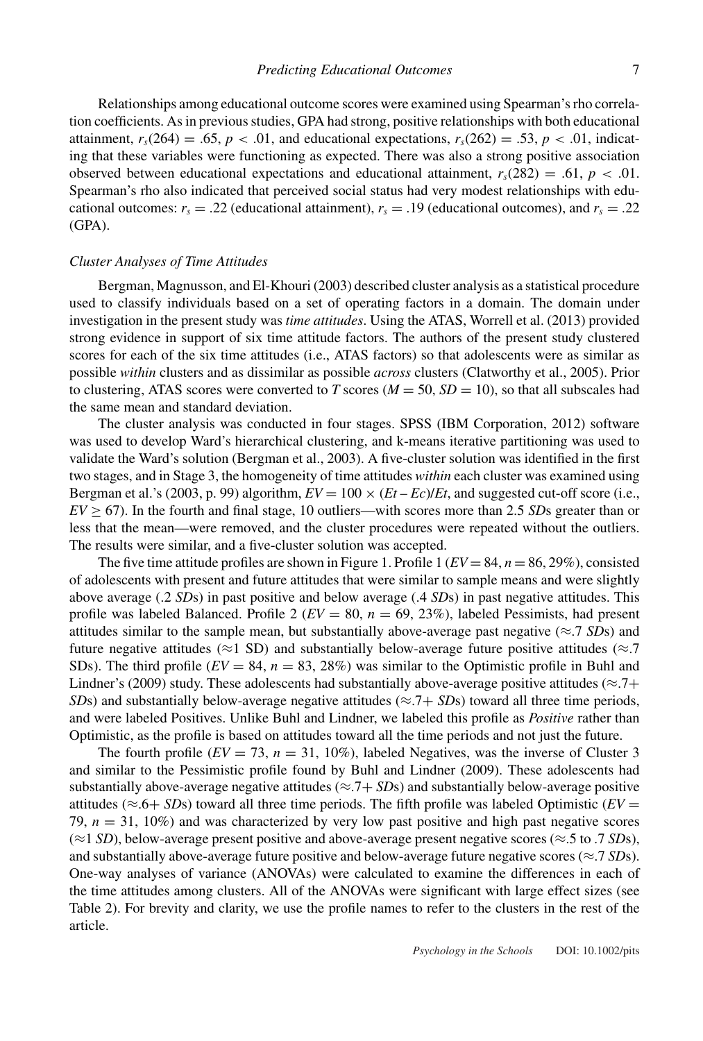Relationships among educational outcome scores were examined using Spearman's rho correlation coefficients. As in previous studies, GPA had strong, positive relationships with both educational attainment,  $r_s(264) = .65$ ,  $p < .01$ , and educational expectations,  $r_s(262) = .53$ ,  $p < .01$ , indicating that these variables were functioning as expected. There was also a strong positive association observed between educational expectations and educational attainment,  $r_s(282) = .61$ ,  $p < .01$ . Spearman's rho also indicated that perceived social status had very modest relationships with educational outcomes:  $r_s = .22$  (educational attainment),  $r_s = .19$  (educational outcomes), and  $r_s = .22$ (GPA).

## *Cluster Analyses of Time Attitudes*

Bergman, Magnusson, and El-Khouri (2003) described cluster analysis as a statistical procedure used to classify individuals based on a set of operating factors in a domain. The domain under investigation in the present study was *time attitudes*. Using the ATAS, Worrell et al. (2013) provided strong evidence in support of six time attitude factors. The authors of the present study clustered scores for each of the six time attitudes (i.e., ATAS factors) so that adolescents were as similar as possible *within* clusters and as dissimilar as possible *across* clusters (Clatworthy et al., 2005). Prior to clustering, ATAS scores were converted to *T* scores ( $M = 50$ ,  $SD = 10$ ), so that all subscales had the same mean and standard deviation.

The cluster analysis was conducted in four stages. SPSS (IBM Corporation, 2012) software was used to develop Ward's hierarchical clustering, and k-means iterative partitioning was used to validate the Ward's solution (Bergman et al., 2003). A five-cluster solution was identified in the first two stages, and in Stage 3, the homogeneity of time attitudes *within* each cluster was examined using Bergman et al.'s (2003, p. 99) algorithm,  $EV = 100 \times (Et - Ec)/Et$ , and suggested cut-off score (i.e.,  $EV > 67$ ). In the fourth and final stage, 10 outliers—with scores more than 2.5 *SDs* greater than or less that the mean—were removed, and the cluster procedures were repeated without the outliers. The results were similar, and a five-cluster solution was accepted.

The five time attitude profiles are shown in Figure 1. Profile 1 ( $EV = 84$ ,  $n = 86, 29\%$ ), consisted of adolescents with present and future attitudes that were similar to sample means and were slightly above average (.2 *SD*s) in past positive and below average (.4 *SD*s) in past negative attitudes. This profile was labeled Balanced. Profile 2 (*EV* = 80, *n* = 69, 23%), labeled Pessimists, had present attitudes similar to the sample mean, but substantially above-average past negative ( $\approx$ .7 *SD*s) and future negative attitudes ( $\approx$ 1 SD) and substantially below-average future positive attitudes ( $\approx$ .7 SDs). The third profile  $(EV = 84, n = 83, 28%)$  was similar to the Optimistic profile in Buhl and Lindner's (2009) study. These adolescents had substantially above-average positive attitudes ( $\approx$ .7+ *SDs*) and substantially below-average negative attitudes ( $\approx$ .7+ *SDs*) toward all three time periods, and were labeled Positives. Unlike Buhl and Lindner, we labeled this profile as *Positive* rather than Optimistic, as the profile is based on attitudes toward all the time periods and not just the future.

The fourth profile  $(EV = 73, n = 31, 10\%)$ , labeled Negatives, was the inverse of Cluster 3 and similar to the Pessimistic profile found by Buhl and Lindner (2009). These adolescents had substantially above-average negative attitudes ( $\approx$ .7+ *SD*s) and substantially below-average positive attitudes ( $\approx$ .6+ *SDs*) toward all three time periods. The fifth profile was labeled Optimistic ( $EV =$ 79,  $n = 31, 10\%$ ) and was characterized by very low past positive and high past negative scores (≈1 *SD*), below-average present positive and above-average present negative scores (≈.5 to .7 *SD*s), and substantially above-average future positive and below-average future negative scores (≈.7 *SD*s). One-way analyses of variance (ANOVAs) were calculated to examine the differences in each of the time attitudes among clusters. All of the ANOVAs were significant with large effect sizes (see Table 2). For brevity and clarity, we use the profile names to refer to the clusters in the rest of the article.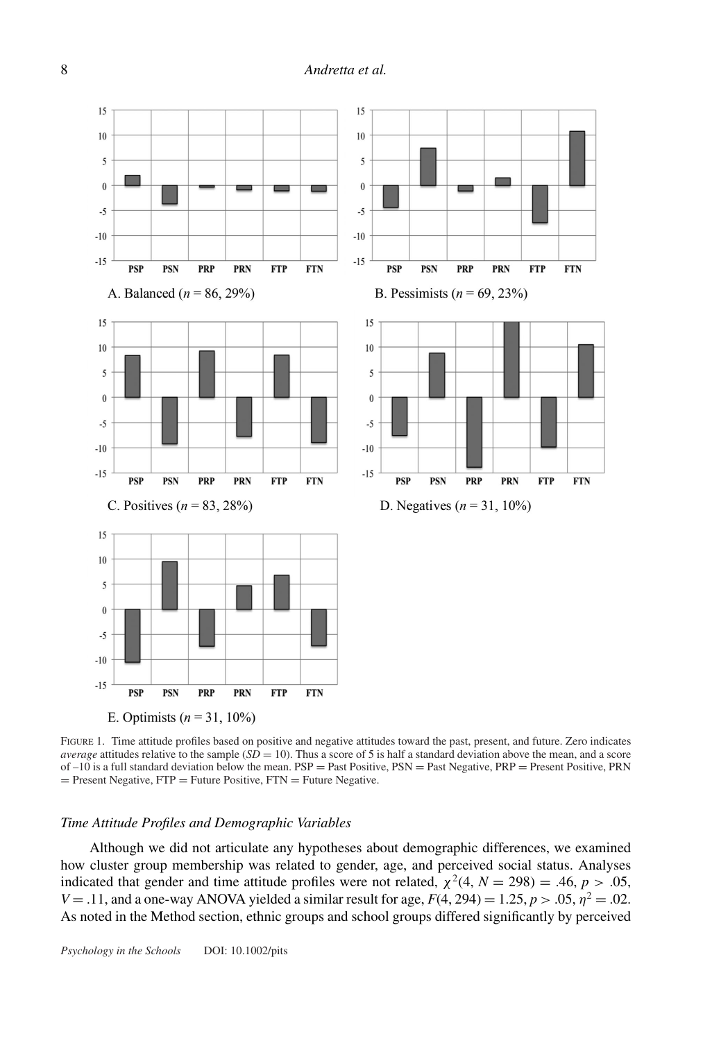

FIGURE 1. Time attitude profiles based on positive and negative attitudes toward the past, present, and future. Zero indicates *average* attitudes relative to the sample  $(SD = 10)$ . Thus a score of 5 is half a standard deviation above the mean, and a score of  $-10$  is a full standard deviation below the mean.  $PSP =$  Past Positive,  $PSN =$  Past Negative,  $PRP =$  Present Positive, PRN  $=$  Present Negative,  $FTP = Future Positive$ ,  $FTN = Future Negative$ .

#### *Time Attitude Profiles and Demographic Variables*

Although we did not articulate any hypotheses about demographic differences, we examined how cluster group membership was related to gender, age, and perceived social status. Analyses indicated that gender and time attitude profiles were not related,  $\chi^2(4, N = 298) = .46, p > .05,$ *V* = .11, and a one-way ANOVA yielded a similar result for age,  $F(4, 294) = 1.25$ ,  $p > .05$ ,  $\eta^2 = .02$ . As noted in the Method section, ethnic groups and school groups differed significantly by perceived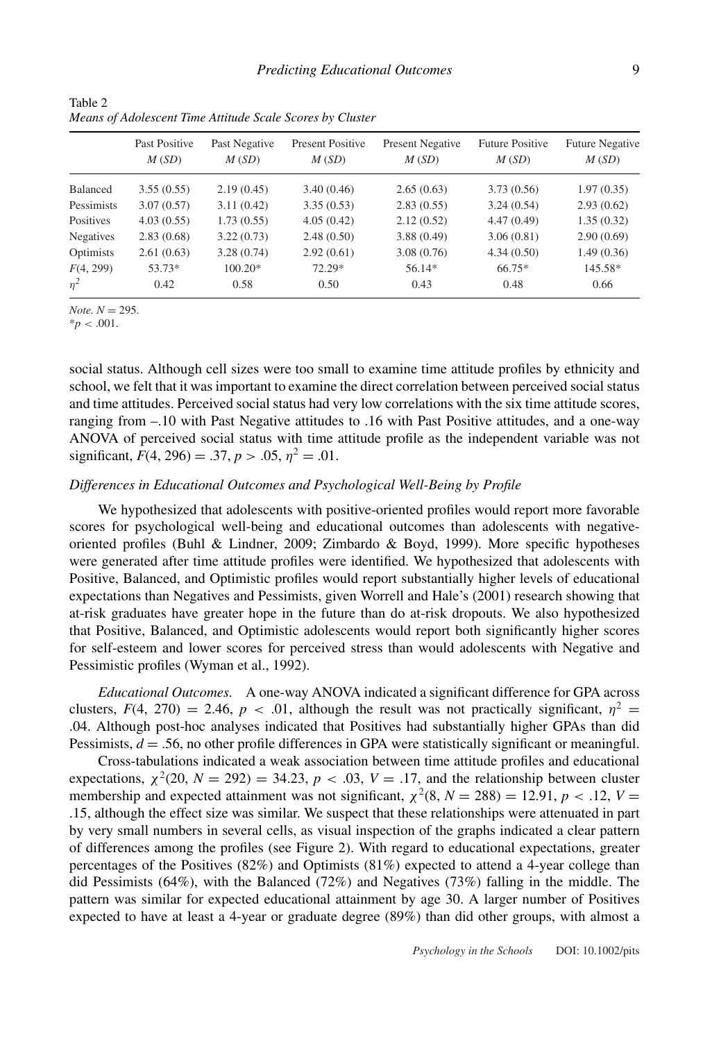|                  | Past Positive<br>M(SD) | Past Negative<br>M(SD) | <b>Present Positive</b><br>M(SD) | <b>Present Negative</b><br>M(SD) | <b>Future Positive</b><br>M(SD) | <b>Future Negative</b><br>M(SD) |
|------------------|------------------------|------------------------|----------------------------------|----------------------------------|---------------------------------|---------------------------------|
| Balanced         | 3.55(0.55)             | 2.19(0.45)             | 3.40(0.46)                       | 2.65(0.63)                       | 3.73(0.56)                      | 1.97(0.35)                      |
| Pessimists       | 3.07(0.57)             | 3.11(0.42)             | 3.35(0.53)                       | 2.83(0.55)                       | 3.24(0.54)                      | 2.93(0.62)                      |
| Positives        | 4.03(0.55)             | 1.73(0.55)             | 4.05(0.42)                       | 2.12(0.52)                       | 4.47(0.49)                      | 1.35(0.32)                      |
| <b>Negatives</b> | 2.83(0.68)             | 3.22(0.73)             | 2.48(0.50)                       | 3.88(0.49)                       | 3.06(0.81)                      | 2.90(0.69)                      |
| Optimists        | 2.61(0.63)             | 3.28(0.74)             | 2.92(0.61)                       | 3.08(0.76)                       | 4.34(0.50)                      | 1.49(0.36)                      |
| F(4, 299)        | 53.73*                 | $100.20*$              | 72.29*                           | 56.14*                           | 66.75*                          | 145.58*                         |
| $\eta^2$         | 0.42                   | 0.58                   | 0.50                             | 0.43                             | 0.48                            | 0.66                            |

Table 2 *Means of Adolescent Time Attitude Scale Scores by Cluster*

*Note.*  $N = 295$ .

 $*_{p}$  < .001.

social status. Although cell sizes were too small to examine time attitude profiles by ethnicity and school, we felt that it was important to examine the direct correlation between perceived social status and time attitudes. Perceived social status had very low correlations with the six time attitude scores, ranging from –.10 with Past Negative attitudes to .16 with Past Positive attitudes, and a one-way ANOVA of perceived social status with time attitude profile as the independent variable was not significant,  $F(4, 296) = .37, p > .05, \eta^2 = .01$ .

## *Differences in Educational Outcomes and Psychological Well-Being by Profile*

We hypothesized that adolescents with positive-oriented profiles would report more favorable scores for psychological well-being and educational outcomes than adolescents with negativeoriented profiles (Buhl & Lindner, 2009; Zimbardo & Boyd, 1999). More specific hypotheses were generated after time attitude profiles were identified. We hypothesized that adolescents with Positive, Balanced, and Optimistic profiles would report substantially higher levels of educational expectations than Negatives and Pessimists, given Worrell and Hale's (2001) research showing that at-risk graduates have greater hope in the future than do at-risk dropouts. We also hypothesized that Positive, Balanced, and Optimistic adolescents would report both significantly higher scores for self-esteem and lower scores for perceived stress than would adolescents with Negative and Pessimistic profiles (Wyman et al., 1992).

*Educational Outcomes.* A one-way ANOVA indicated a significant difference for GPA across clusters,  $F(4, 270) = 2.46$ ,  $p < .01$ , although the result was not practically significant,  $\eta^2 =$ .04. Although post-hoc analyses indicated that Positives had substantially higher GPAs than did Pessimists,  $d = 0.56$ , no other profile differences in GPA were statistically significant or meaningful.

Cross-tabulations indicated a weak association between time attitude profiles and educational expectations,  $\chi^2(20, N = 292) = 34.23$ ,  $p < .03$ ,  $V = .17$ , and the relationship between cluster membership and expected attainment was not significant,  $\chi^2(8, N = 288) = 12.91, p < .12, V =$ .15, although the effect size was similar. We suspect that these relationships were attenuated in part by very small numbers in several cells, as visual inspection of the graphs indicated a clear pattern of differences among the profiles (see Figure 2). With regard to educational expectations, greater percentages of the Positives (82%) and Optimists (81%) expected to attend a 4-year college than did Pessimists (64%), with the Balanced (72%) and Negatives (73%) falling in the middle. The pattern was similar for expected educational attainment by age 30. A larger number of Positives expected to have at least a 4-year or graduate degree (89%) than did other groups, with almost a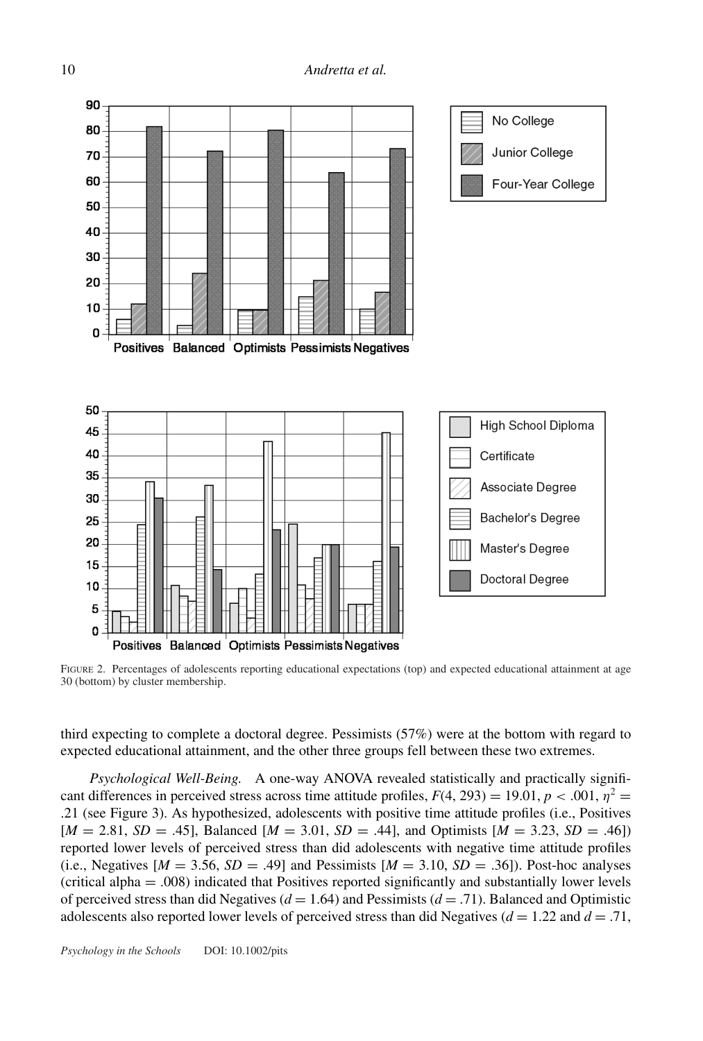

FIGURE 2. Percentages of adolescents reporting educational expectations (top) and expected educational attainment at age 30 (bottom) by cluster membership.

third expecting to complete a doctoral degree. Pessimists (57%) were at the bottom with regard to expected educational attainment, and the other three groups fell between these two extremes.

*Psychological Well-Being.* A one-way ANOVA revealed statistically and practically significant differences in perceived stress across time attitude profiles,  $F(4, 293) = 19.01$ ,  $p < .001$ ,  $\eta^2 =$ .21 (see Figure 3). As hypothesized, adolescents with positive time attitude profiles (i.e., Positives [*M* = 2.81, *SD* = .45], Balanced [*M* = 3.01, *SD* = .44], and Optimists [*M* = 3.23, *SD* = .46]) reported lower levels of perceived stress than did adolescents with negative time attitude profiles (i.e., Negatives  $[M = 3.56, SD = .49]$  and Pessimists  $[M = 3.10, SD = .36]$ ). Post-hoc analyses (critical alpha = .008) indicated that Positives reported significantly and substantially lower levels of perceived stress than did Negatives (*d* = 1.64) and Pessimists (*d* = .71). Balanced and Optimistic adolescents also reported lower levels of perceived stress than did Negatives ( $d = 1.22$  and  $d = .71$ ,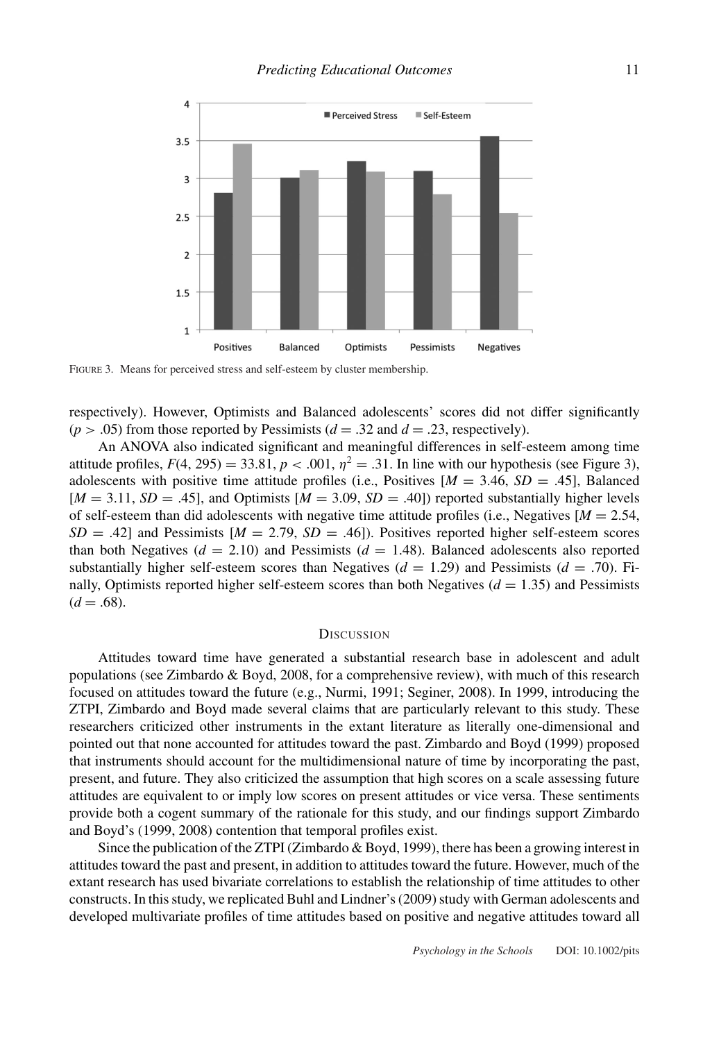

FIGURE 3. Means for perceived stress and self-esteem by cluster membership.

respectively). However, Optimists and Balanced adolescents' scores did not differ significantly  $(p > .05)$  from those reported by Pessimists ( $d = .32$  and  $d = .23$ , respectively).

An ANOVA also indicated significant and meaningful differences in self-esteem among time attitude profiles,  $F(4, 295) = 33.81$ ,  $p < .001$ ,  $\eta^2 = .31$ . In line with our hypothesis (see Figure 3), adolescents with positive time attitude profiles (i.e., Positives  $[M = 3.46, SD = .45]$ , Balanced  $[M = 3.11, SD = .45]$ , and Optimists  $[M = 3.09, SD = .40]$  reported substantially higher levels of self-esteem than did adolescents with negative time attitude profiles (i.e., Negatives  $[M = 2.54]$ ,  $SD = .42$ ] and Pessimists  $[M = 2.79, SD = .46]$ ). Positives reported higher self-esteem scores than both Negatives  $(d = 2.10)$  and Pessimists  $(d = 1.48)$ . Balanced adolescents also reported substantially higher self-esteem scores than Negatives  $(d = 1.29)$  and Pessimists  $(d = .70)$ . Finally, Optimists reported higher self-esteem scores than both Negatives  $(d = 1.35)$  and Pessimists  $(d = .68)$ .

#### **DISCUSSION**

Attitudes toward time have generated a substantial research base in adolescent and adult populations (see Zimbardo & Boyd, 2008, for a comprehensive review), with much of this research focused on attitudes toward the future (e.g., Nurmi, 1991; Seginer, 2008). In 1999, introducing the ZTPI, Zimbardo and Boyd made several claims that are particularly relevant to this study. These researchers criticized other instruments in the extant literature as literally one-dimensional and pointed out that none accounted for attitudes toward the past. Zimbardo and Boyd (1999) proposed that instruments should account for the multidimensional nature of time by incorporating the past, present, and future. They also criticized the assumption that high scores on a scale assessing future attitudes are equivalent to or imply low scores on present attitudes or vice versa. These sentiments provide both a cogent summary of the rationale for this study, and our findings support Zimbardo and Boyd's (1999, 2008) contention that temporal profiles exist.

Since the publication of the ZTPI (Zimbardo & Boyd, 1999), there has been a growing interest in attitudes toward the past and present, in addition to attitudes toward the future. However, much of the extant research has used bivariate correlations to establish the relationship of time attitudes to other constructs. In this study, we replicated Buhl and Lindner's (2009) study with German adolescents and developed multivariate profiles of time attitudes based on positive and negative attitudes toward all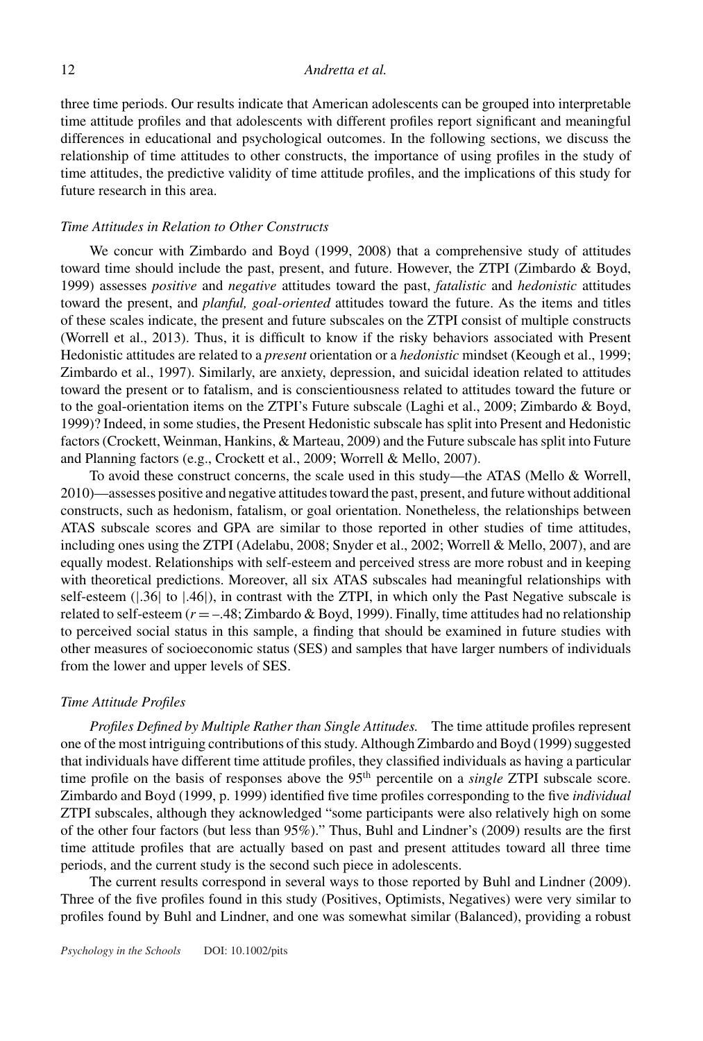three time periods. Our results indicate that American adolescents can be grouped into interpretable time attitude profiles and that adolescents with different profiles report significant and meaningful differences in educational and psychological outcomes. In the following sections, we discuss the relationship of time attitudes to other constructs, the importance of using profiles in the study of time attitudes, the predictive validity of time attitude profiles, and the implications of this study for future research in this area.

### *Time Attitudes in Relation to Other Constructs*

We concur with Zimbardo and Boyd (1999, 2008) that a comprehensive study of attitudes toward time should include the past, present, and future. However, the ZTPI (Zimbardo & Boyd, 1999) assesses *positive* and *negative* attitudes toward the past, *fatalistic* and *hedonistic* attitudes toward the present, and *planful, goal-oriented* attitudes toward the future. As the items and titles of these scales indicate, the present and future subscales on the ZTPI consist of multiple constructs (Worrell et al., 2013). Thus, it is difficult to know if the risky behaviors associated with Present Hedonistic attitudes are related to a *present* orientation or a *hedonistic* mindset (Keough et al., 1999; Zimbardo et al., 1997). Similarly, are anxiety, depression, and suicidal ideation related to attitudes toward the present or to fatalism, and is conscientiousness related to attitudes toward the future or to the goal-orientation items on the ZTPI's Future subscale (Laghi et al., 2009; Zimbardo & Boyd, 1999)? Indeed, in some studies, the Present Hedonistic subscale has split into Present and Hedonistic factors (Crockett, Weinman, Hankins, & Marteau, 2009) and the Future subscale has split into Future and Planning factors (e.g., Crockett et al., 2009; Worrell & Mello, 2007).

To avoid these construct concerns, the scale used in this study—the ATAS (Mello & Worrell, 2010)—assesses positive and negative attitudes toward the past, present, and future without additional constructs, such as hedonism, fatalism, or goal orientation. Nonetheless, the relationships between ATAS subscale scores and GPA are similar to those reported in other studies of time attitudes, including ones using the ZTPI (Adelabu, 2008; Snyder et al., 2002; Worrell & Mello, 2007), and are equally modest. Relationships with self-esteem and perceived stress are more robust and in keeping with theoretical predictions. Moreover, all six ATAS subscales had meaningful relationships with self-esteem ( $|.36|$  to  $|.46|$ ), in contrast with the ZTPI, in which only the Past Negative subscale is related to self-esteem  $(r = -.48; Zimbardo & Boyd, 1999)$ . Finally, time attitudes had no relationship to perceived social status in this sample, a finding that should be examined in future studies with other measures of socioeconomic status (SES) and samples that have larger numbers of individuals from the lower and upper levels of SES.

### *Time Attitude Profiles*

*Profiles Defined by Multiple Rather than Single Attitudes.* The time attitude profiles represent one of the most intriguing contributions of this study. Although Zimbardo and Boyd (1999) suggested that individuals have different time attitude profiles, they classified individuals as having a particular time profile on the basis of responses above the 95<sup>th</sup> percentile on a *single* ZTPI subscale score. Zimbardo and Boyd (1999, p. 1999) identified five time profiles corresponding to the five *individual* ZTPI subscales, although they acknowledged "some participants were also relatively high on some of the other four factors (but less than 95%)." Thus, Buhl and Lindner's (2009) results are the first time attitude profiles that are actually based on past and present attitudes toward all three time periods, and the current study is the second such piece in adolescents.

The current results correspond in several ways to those reported by Buhl and Lindner (2009). Three of the five profiles found in this study (Positives, Optimists, Negatives) were very similar to profiles found by Buhl and Lindner, and one was somewhat similar (Balanced), providing a robust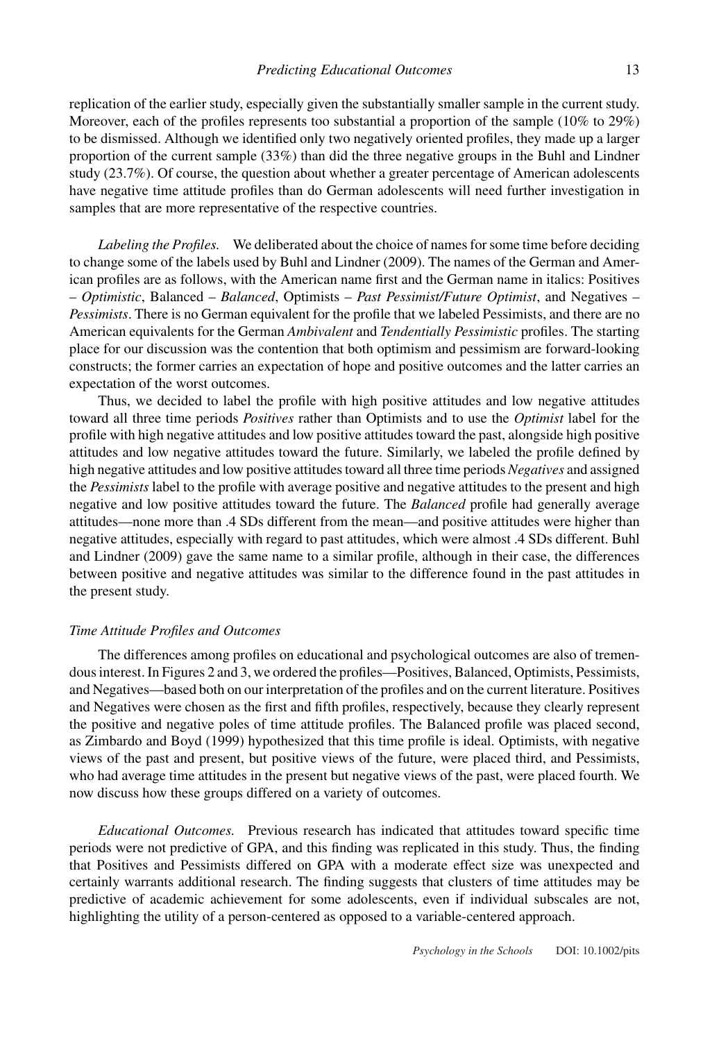replication of the earlier study, especially given the substantially smaller sample in the current study. Moreover, each of the profiles represents too substantial a proportion of the sample (10% to 29%) to be dismissed. Although we identified only two negatively oriented profiles, they made up a larger proportion of the current sample (33%) than did the three negative groups in the Buhl and Lindner study (23.7%). Of course, the question about whether a greater percentage of American adolescents have negative time attitude profiles than do German adolescents will need further investigation in samples that are more representative of the respective countries.

*Labeling the Profiles.* We deliberated about the choice of names for some time before deciding to change some of the labels used by Buhl and Lindner (2009). The names of the German and American profiles are as follows, with the American name first and the German name in italics: Positives – *Optimistic*, Balanced – *Balanced*, Optimists – *Past Pessimist/Future Optimist*, and Negatives – *Pessimists*. There is no German equivalent for the profile that we labeled Pessimists, and there are no American equivalents for the German *Ambivalent* and *Tendentially Pessimistic* profiles. The starting place for our discussion was the contention that both optimism and pessimism are forward-looking constructs; the former carries an expectation of hope and positive outcomes and the latter carries an expectation of the worst outcomes.

Thus, we decided to label the profile with high positive attitudes and low negative attitudes toward all three time periods *Positives* rather than Optimists and to use the *Optimist* label for the profile with high negative attitudes and low positive attitudes toward the past, alongside high positive attitudes and low negative attitudes toward the future. Similarly, we labeled the profile defined by high negative attitudes and low positive attitudes toward all three time periods *Negatives* and assigned the *Pessimists* label to the profile with average positive and negative attitudes to the present and high negative and low positive attitudes toward the future. The *Balanced* profile had generally average attitudes—none more than .4 SDs different from the mean—and positive attitudes were higher than negative attitudes, especially with regard to past attitudes, which were almost .4 SDs different. Buhl and Lindner (2009) gave the same name to a similar profile, although in their case, the differences between positive and negative attitudes was similar to the difference found in the past attitudes in the present study.

## *Time Attitude Profiles and Outcomes*

The differences among profiles on educational and psychological outcomes are also of tremendous interest. In Figures 2 and 3, we ordered the profiles—Positives, Balanced, Optimists, Pessimists, and Negatives—based both on our interpretation of the profiles and on the current literature. Positives and Negatives were chosen as the first and fifth profiles, respectively, because they clearly represent the positive and negative poles of time attitude profiles. The Balanced profile was placed second, as Zimbardo and Boyd (1999) hypothesized that this time profile is ideal. Optimists, with negative views of the past and present, but positive views of the future, were placed third, and Pessimists, who had average time attitudes in the present but negative views of the past, were placed fourth. We now discuss how these groups differed on a variety of outcomes.

*Educational Outcomes.* Previous research has indicated that attitudes toward specific time periods were not predictive of GPA, and this finding was replicated in this study. Thus, the finding that Positives and Pessimists differed on GPA with a moderate effect size was unexpected and certainly warrants additional research. The finding suggests that clusters of time attitudes may be predictive of academic achievement for some adolescents, even if individual subscales are not, highlighting the utility of a person-centered as opposed to a variable-centered approach.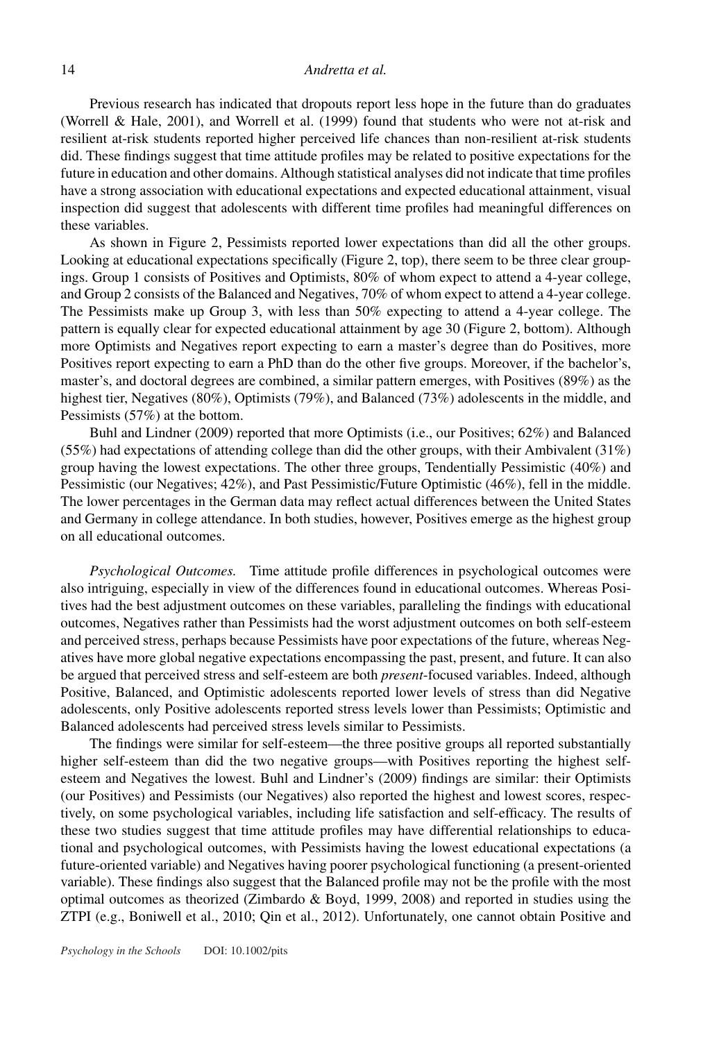Previous research has indicated that dropouts report less hope in the future than do graduates (Worrell & Hale, 2001), and Worrell et al. (1999) found that students who were not at-risk and resilient at-risk students reported higher perceived life chances than non-resilient at-risk students did. These findings suggest that time attitude profiles may be related to positive expectations for the future in education and other domains. Although statistical analyses did not indicate that time profiles have a strong association with educational expectations and expected educational attainment, visual inspection did suggest that adolescents with different time profiles had meaningful differences on these variables.

As shown in Figure 2, Pessimists reported lower expectations than did all the other groups. Looking at educational expectations specifically (Figure 2, top), there seem to be three clear groupings. Group 1 consists of Positives and Optimists, 80% of whom expect to attend a 4-year college, and Group 2 consists of the Balanced and Negatives, 70% of whom expect to attend a 4-year college. The Pessimists make up Group 3, with less than 50% expecting to attend a 4-year college. The pattern is equally clear for expected educational attainment by age 30 (Figure 2, bottom). Although more Optimists and Negatives report expecting to earn a master's degree than do Positives, more Positives report expecting to earn a PhD than do the other five groups. Moreover, if the bachelor's, master's, and doctoral degrees are combined, a similar pattern emerges, with Positives (89%) as the highest tier, Negatives (80%), Optimists (79%), and Balanced (73%) adolescents in the middle, and Pessimists (57%) at the bottom.

Buhl and Lindner (2009) reported that more Optimists (i.e., our Positives; 62%) and Balanced  $(55%)$  had expectations of attending college than did the other groups, with their Ambivalent  $(31%)$ group having the lowest expectations. The other three groups, Tendentially Pessimistic (40%) and Pessimistic (our Negatives; 42%), and Past Pessimistic/Future Optimistic (46%), fell in the middle. The lower percentages in the German data may reflect actual differences between the United States and Germany in college attendance. In both studies, however, Positives emerge as the highest group on all educational outcomes.

*Psychological Outcomes.* Time attitude profile differences in psychological outcomes were also intriguing, especially in view of the differences found in educational outcomes. Whereas Positives had the best adjustment outcomes on these variables, paralleling the findings with educational outcomes, Negatives rather than Pessimists had the worst adjustment outcomes on both self-esteem and perceived stress, perhaps because Pessimists have poor expectations of the future, whereas Negatives have more global negative expectations encompassing the past, present, and future. It can also be argued that perceived stress and self-esteem are both *present*-focused variables. Indeed, although Positive, Balanced, and Optimistic adolescents reported lower levels of stress than did Negative adolescents, only Positive adolescents reported stress levels lower than Pessimists; Optimistic and Balanced adolescents had perceived stress levels similar to Pessimists.

The findings were similar for self-esteem—the three positive groups all reported substantially higher self-esteem than did the two negative groups—with Positives reporting the highest selfesteem and Negatives the lowest. Buhl and Lindner's (2009) findings are similar: their Optimists (our Positives) and Pessimists (our Negatives) also reported the highest and lowest scores, respectively, on some psychological variables, including life satisfaction and self-efficacy. The results of these two studies suggest that time attitude profiles may have differential relationships to educational and psychological outcomes, with Pessimists having the lowest educational expectations (a future-oriented variable) and Negatives having poorer psychological functioning (a present-oriented variable). These findings also suggest that the Balanced profile may not be the profile with the most optimal outcomes as theorized (Zimbardo  $&$  Boyd, 1999, 2008) and reported in studies using the ZTPI (e.g., Boniwell et al., 2010; Qin et al., 2012). Unfortunately, one cannot obtain Positive and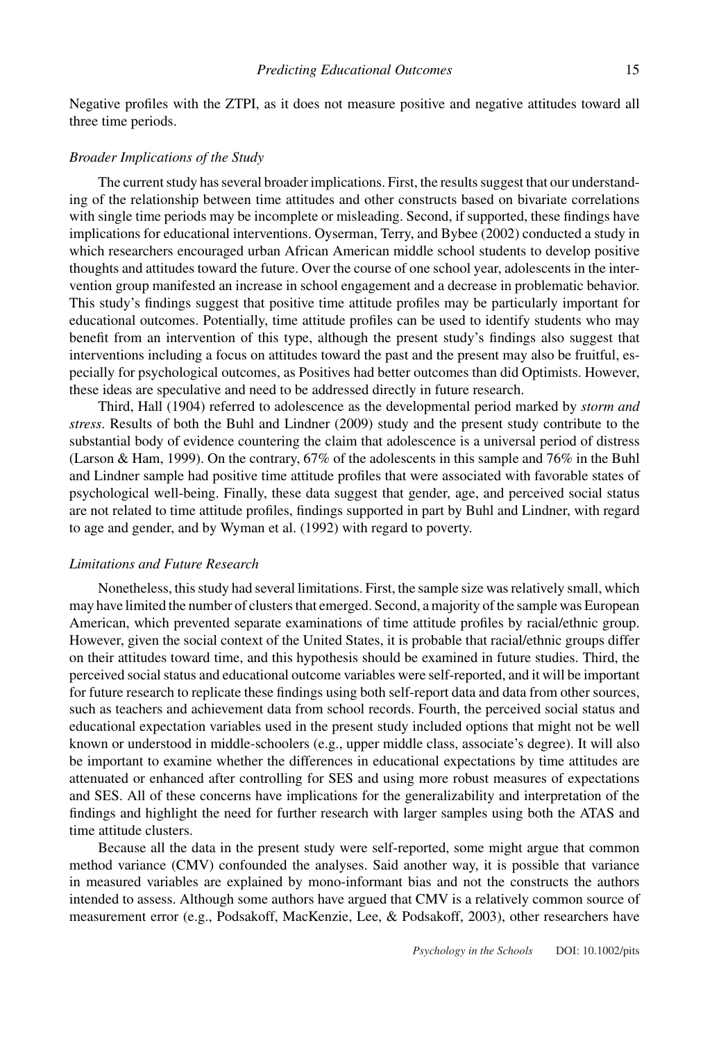Negative profiles with the ZTPI, as it does not measure positive and negative attitudes toward all three time periods.

### *Broader Implications of the Study*

The current study has several broader implications. First, the results suggest that our understanding of the relationship between time attitudes and other constructs based on bivariate correlations with single time periods may be incomplete or misleading. Second, if supported, these findings have implications for educational interventions. Oyserman, Terry, and Bybee (2002) conducted a study in which researchers encouraged urban African American middle school students to develop positive thoughts and attitudes toward the future. Over the course of one school year, adolescents in the intervention group manifested an increase in school engagement and a decrease in problematic behavior. This study's findings suggest that positive time attitude profiles may be particularly important for educational outcomes. Potentially, time attitude profiles can be used to identify students who may benefit from an intervention of this type, although the present study's findings also suggest that interventions including a focus on attitudes toward the past and the present may also be fruitful, especially for psychological outcomes, as Positives had better outcomes than did Optimists. However, these ideas are speculative and need to be addressed directly in future research.

Third, Hall (1904) referred to adolescence as the developmental period marked by *storm and stress*. Results of both the Buhl and Lindner (2009) study and the present study contribute to the substantial body of evidence countering the claim that adolescence is a universal period of distress (Larson & Ham, 1999). On the contrary, 67% of the adolescents in this sample and 76% in the Buhl and Lindner sample had positive time attitude profiles that were associated with favorable states of psychological well-being. Finally, these data suggest that gender, age, and perceived social status are not related to time attitude profiles, findings supported in part by Buhl and Lindner, with regard to age and gender, and by Wyman et al. (1992) with regard to poverty.

## *Limitations and Future Research*

Nonetheless, this study had several limitations. First, the sample size was relatively small, which may have limited the number of clusters that emerged. Second, a majority of the sample was European American, which prevented separate examinations of time attitude profiles by racial/ethnic group. However, given the social context of the United States, it is probable that racial/ethnic groups differ on their attitudes toward time, and this hypothesis should be examined in future studies. Third, the perceived social status and educational outcome variables were self-reported, and it will be important for future research to replicate these findings using both self-report data and data from other sources, such as teachers and achievement data from school records. Fourth, the perceived social status and educational expectation variables used in the present study included options that might not be well known or understood in middle-schoolers (e.g., upper middle class, associate's degree). It will also be important to examine whether the differences in educational expectations by time attitudes are attenuated or enhanced after controlling for SES and using more robust measures of expectations and SES. All of these concerns have implications for the generalizability and interpretation of the findings and highlight the need for further research with larger samples using both the ATAS and time attitude clusters.

Because all the data in the present study were self-reported, some might argue that common method variance (CMV) confounded the analyses. Said another way, it is possible that variance in measured variables are explained by mono-informant bias and not the constructs the authors intended to assess. Although some authors have argued that CMV is a relatively common source of measurement error (e.g., Podsakoff, MacKenzie, Lee, & Podsakoff, 2003), other researchers have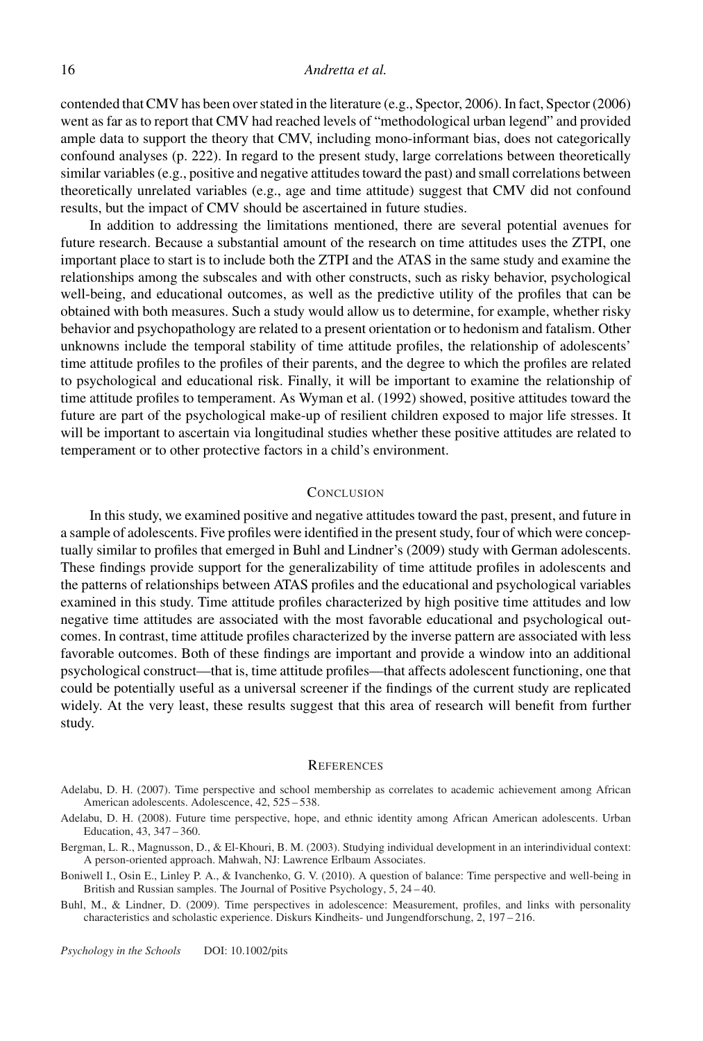contended that CMV has been over stated in the literature (e.g., Spector, 2006). In fact, Spector (2006) went as far as to report that CMV had reached levels of "methodological urban legend" and provided ample data to support the theory that CMV, including mono-informant bias, does not categorically confound analyses (p. 222). In regard to the present study, large correlations between theoretically similar variables (e.g., positive and negative attitudes toward the past) and small correlations between theoretically unrelated variables (e.g., age and time attitude) suggest that CMV did not confound results, but the impact of CMV should be ascertained in future studies.

In addition to addressing the limitations mentioned, there are several potential avenues for future research. Because a substantial amount of the research on time attitudes uses the ZTPI, one important place to start is to include both the ZTPI and the ATAS in the same study and examine the relationships among the subscales and with other constructs, such as risky behavior, psychological well-being, and educational outcomes, as well as the predictive utility of the profiles that can be obtained with both measures. Such a study would allow us to determine, for example, whether risky behavior and psychopathology are related to a present orientation or to hedonism and fatalism. Other unknowns include the temporal stability of time attitude profiles, the relationship of adolescents' time attitude profiles to the profiles of their parents, and the degree to which the profiles are related to psychological and educational risk. Finally, it will be important to examine the relationship of time attitude profiles to temperament. As Wyman et al. (1992) showed, positive attitudes toward the future are part of the psychological make-up of resilient children exposed to major life stresses. It will be important to ascertain via longitudinal studies whether these positive attitudes are related to temperament or to other protective factors in a child's environment.

## **CONCLUSION**

In this study, we examined positive and negative attitudes toward the past, present, and future in a sample of adolescents. Five profiles were identified in the present study, four of which were conceptually similar to profiles that emerged in Buhl and Lindner's (2009) study with German adolescents. These findings provide support for the generalizability of time attitude profiles in adolescents and the patterns of relationships between ATAS profiles and the educational and psychological variables examined in this study. Time attitude profiles characterized by high positive time attitudes and low negative time attitudes are associated with the most favorable educational and psychological outcomes. In contrast, time attitude profiles characterized by the inverse pattern are associated with less favorable outcomes. Both of these findings are important and provide a window into an additional psychological construct—that is, time attitude profiles—that affects adolescent functioning, one that could be potentially useful as a universal screener if the findings of the current study are replicated widely. At the very least, these results suggest that this area of research will benefit from further study.

#### **REFERENCES**

- Adelabu, D. H. (2007). Time perspective and school membership as correlates to academic achievement among African American adolescents. Adolescence, 42, 525 – 538.
- Adelabu, D. H. (2008). Future time perspective, hope, and ethnic identity among African American adolescents. Urban Education, 43, 347 – 360.
- Bergman, L. R., Magnusson, D., & El-Khouri, B. M. (2003). Studying individual development in an interindividual context: A person-oriented approach. Mahwah, NJ: Lawrence Erlbaum Associates.
- Boniwell I., Osin E., Linley P. A., & Ivanchenko, G. V. (2010). A question of balance: Time perspective and well-being in British and Russian samples. The Journal of Positive Psychology, 5, 24 – 40.
- Buhl, M., & Lindner, D. (2009). Time perspectives in adolescence: Measurement, profiles, and links with personality characteristics and scholastic experience. Diskurs Kindheits- und Jungendforschung, 2, 197 – 216.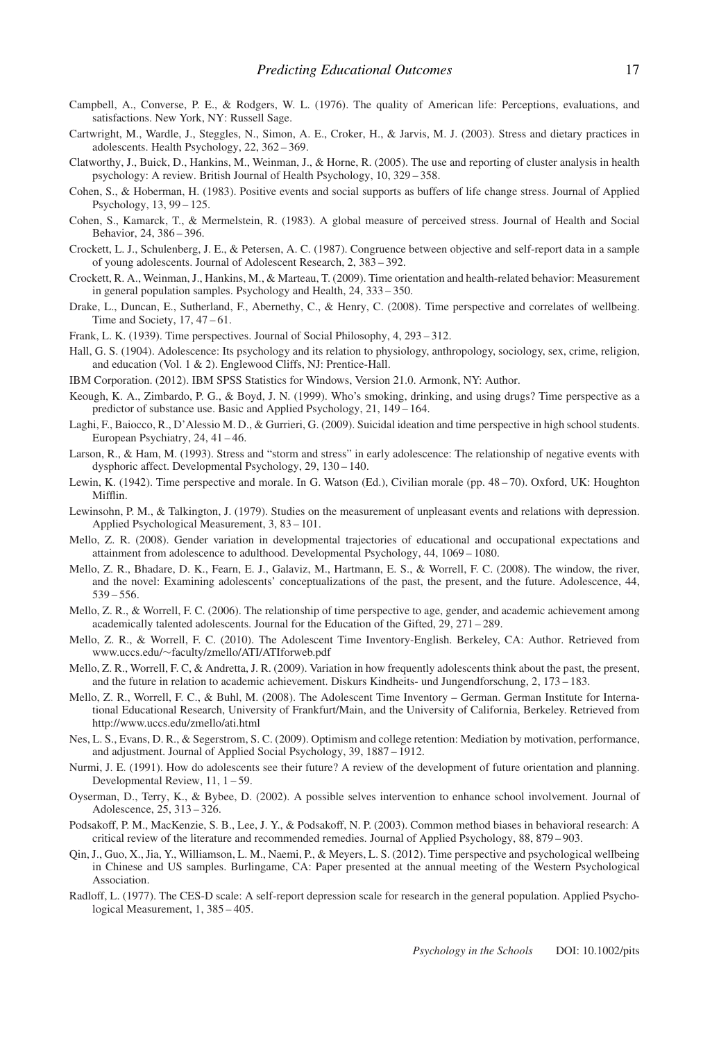- Campbell, A., Converse, P. E., & Rodgers, W. L. (1976). The quality of American life: Perceptions, evaluations, and satisfactions. New York, NY: Russell Sage.
- Cartwright, M., Wardle, J., Steggles, N., Simon, A. E., Croker, H., & Jarvis, M. J. (2003). Stress and dietary practices in adolescents. Health Psychology, 22, 362 – 369.
- Clatworthy, J., Buick, D., Hankins, M., Weinman, J., & Horne, R. (2005). The use and reporting of cluster analysis in health psychology: A review. British Journal of Health Psychology, 10, 329 – 358.
- Cohen, S., & Hoberman, H. (1983). Positive events and social supports as buffers of life change stress. Journal of Applied Psychology, 13, 99 – 125.
- Cohen, S., Kamarck, T., & Mermelstein, R. (1983). A global measure of perceived stress. Journal of Health and Social Behavior, 24, 386 – 396.
- Crockett, L. J., Schulenberg, J. E., & Petersen, A. C. (1987). Congruence between objective and self-report data in a sample of young adolescents. Journal of Adolescent Research, 2, 383 – 392.
- Crockett, R. A., Weinman, J., Hankins, M., & Marteau, T. (2009). Time orientation and health-related behavior: Measurement in general population samples. Psychology and Health, 24, 333 – 350.
- Drake, L., Duncan, E., Sutherland, F., Abernethy, C., & Henry, C. (2008). Time perspective and correlates of wellbeing. Time and Society, 17, 47 – 61.
- Frank, L. K. (1939). Time perspectives. Journal of Social Philosophy, 4, 293 312.
- Hall, G. S. (1904). Adolescence: Its psychology and its relation to physiology, anthropology, sociology, sex, crime, religion, and education (Vol. 1 & 2). Englewood Cliffs, NJ: Prentice-Hall.
- IBM Corporation. (2012). IBM SPSS Statistics for Windows, Version 21.0. Armonk, NY: Author.
- Keough, K. A., Zimbardo, P. G., & Boyd, J. N. (1999). Who's smoking, drinking, and using drugs? Time perspective as a predictor of substance use. Basic and Applied Psychology, 21, 149 – 164.
- Laghi, F., Baiocco, R., D'Alessio M. D., & Gurrieri, G. (2009). Suicidal ideation and time perspective in high school students. European Psychiatry, 24, 41 – 46.
- Larson, R., & Ham, M. (1993). Stress and "storm and stress" in early adolescence: The relationship of negative events with dysphoric affect. Developmental Psychology, 29, 130 – 140.
- Lewin, K. (1942). Time perspective and morale. In G. Watson (Ed.), Civilian morale (pp. 48 70). Oxford, UK: Houghton Mifflin.
- Lewinsohn, P. M., & Talkington, J. (1979). Studies on the measurement of unpleasant events and relations with depression. Applied Psychological Measurement, 3, 83 – 101.
- Mello, Z. R. (2008). Gender variation in developmental trajectories of educational and occupational expectations and attainment from adolescence to adulthood. Developmental Psychology, 44, 1069 – 1080.
- Mello, Z. R., Bhadare, D. K., Fearn, E. J., Galaviz, M., Hartmann, E. S., & Worrell, F. C. (2008). The window, the river, and the novel: Examining adolescents' conceptualizations of the past, the present, and the future. Adolescence, 44, 539 – 556.
- Mello, Z. R., & Worrell, F. C. (2006). The relationship of time perspective to age, gender, and academic achievement among academically talented adolescents. Journal for the Education of the Gifted, 29, 271 – 289.
- Mello, Z. R., & Worrell, F. C. (2010). The Adolescent Time Inventory-English. Berkeley, CA: Author. Retrieved from www.uccs.edu/∼faculty/zmello/ATI/ATIforweb.pdf
- Mello, Z. R., Worrell, F. C, & Andretta, J. R. (2009). Variation in how frequently adolescents think about the past, the present, and the future in relation to academic achievement. Diskurs Kindheits- und Jungendforschung, 2, 173 – 183.
- Mello, Z. R., Worrell, F. C., & Buhl, M. (2008). The Adolescent Time Inventory German. German Institute for International Educational Research, University of Frankfurt/Main, and the University of California, Berkeley. Retrieved from http://www.uccs.edu/zmello/ati.html
- Nes, L. S., Evans, D. R., & Segerstrom, S. C. (2009). Optimism and college retention: Mediation by motivation, performance, and adjustment. Journal of Applied Social Psychology, 39, 1887 – 1912.
- Nurmi, J. E. (1991). How do adolescents see their future? A review of the development of future orientation and planning. Developmental Review, 11, 1 – 59.
- Oyserman, D., Terry, K., & Bybee, D. (2002). A possible selves intervention to enhance school involvement. Journal of Adolescence, 25, 313 – 326.
- Podsakoff, P. M., MacKenzie, S. B., Lee, J. Y., & Podsakoff, N. P. (2003). Common method biases in behavioral research: A critical review of the literature and recommended remedies. Journal of Applied Psychology, 88, 879 – 903.
- Qin, J., Guo, X., Jia, Y., Williamson, L. M., Naemi, P., & Meyers, L. S. (2012). Time perspective and psychological wellbeing in Chinese and US samples. Burlingame, CA: Paper presented at the annual meeting of the Western Psychological Association.
- Radloff, L. (1977). The CES-D scale: A self-report depression scale for research in the general population. Applied Psychological Measurement, 1, 385 – 405.